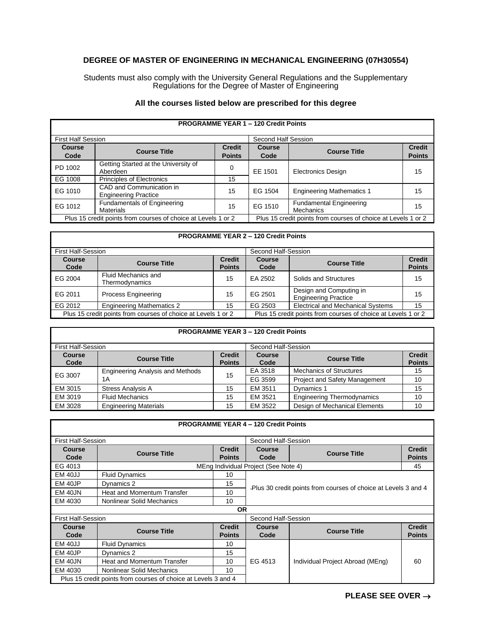## **DEGREE OF MASTER OF ENGINEERING IN MECHANICAL ENGINEERING (07H30554)**

Students must also comply with the University General Regulations and the Supplementary Regulations for the Degree of Master of Engineering

| All the courses listed below are prescribed for this degree |  |
|-------------------------------------------------------------|--|
|-------------------------------------------------------------|--|

| <b>PROGRAMME YEAR 1 - 120 Credit Points</b>                   |                                                         |                                |                                                               |                                             |                                |  |
|---------------------------------------------------------------|---------------------------------------------------------|--------------------------------|---------------------------------------------------------------|---------------------------------------------|--------------------------------|--|
|                                                               | <b>First Half Session</b>                               |                                |                                                               | Second Half Session                         |                                |  |
| Course<br>Code                                                | <b>Course Title</b>                                     | <b>Credit</b><br><b>Points</b> | Course<br>Code                                                | <b>Course Title</b>                         | <b>Credit</b><br><b>Points</b> |  |
| PD 1002                                                       | Getting Started at the University of<br>Aberdeen        | 0                              | EE 1501                                                       | <b>Electronics Design</b>                   | 15                             |  |
| EG 1008                                                       | Principles of Electronics                               | 15                             |                                                               |                                             |                                |  |
| EG 1010                                                       | CAD and Communication in<br><b>Engineering Practice</b> | 15                             | EG 1504                                                       | <b>Engineering Mathematics 1</b>            | 15                             |  |
| EG 1012                                                       | <b>Fundamentals of Engineering</b><br><b>Materials</b>  | 15                             | EG 1510                                                       | <b>Fundamental Engineering</b><br>Mechanics | 15                             |  |
| Plus 15 credit points from courses of choice at Levels 1 or 2 |                                                         |                                | Plus 15 credit points from courses of choice at Levels 1 or 2 |                                             |                                |  |

## **PROGRAMME YEAR 2 – 120 Credit Points**

| <b>First Half-Session</b><br>Second Half-Session              |                                       |                                |                                                               |                                                        |                                |
|---------------------------------------------------------------|---------------------------------------|--------------------------------|---------------------------------------------------------------|--------------------------------------------------------|--------------------------------|
| Course<br>Code                                                | <b>Course Title</b>                   | <b>Credit</b><br><b>Points</b> | <b>Course</b><br>Code                                         | <b>Course Title</b>                                    | <b>Credit</b><br><b>Points</b> |
| EG 2004                                                       | Fluid Mechanics and<br>Thermodynamics | 15                             | EA 2502                                                       | Solids and Structures                                  | 15                             |
| EG 2011                                                       | <b>Process Engineering</b>            | 15                             | EG 2501                                                       | Design and Computing in<br><b>Engineering Practice</b> | 15                             |
| EG 2012                                                       | <b>Engineering Mathematics 2</b>      | 15                             | EG 2503                                                       | <b>Electrical and Mechanical Systems</b>               | 15                             |
| Plus 15 credit points from courses of choice at Levels 1 or 2 |                                       |                                | Plus 15 credit points from courses of choice at Levels 1 or 2 |                                                        |                                |

| <b>PROGRAMME YEAR 3 - 120 Credit Points</b> |                                         |                                |                       |                                      |                                |
|---------------------------------------------|-----------------------------------------|--------------------------------|-----------------------|--------------------------------------|--------------------------------|
|                                             | <b>First Half-Session</b>               |                                |                       | Second Half-Session                  |                                |
| <b>Course</b><br>Code                       | <b>Course Title</b>                     | <b>Credit</b><br><b>Points</b> | <b>Course</b><br>Code | <b>Course Title</b>                  | <b>Credit</b><br><b>Points</b> |
| EG 3007                                     | <b>Engineering Analysis and Methods</b> | 15                             | EA 3518               | <b>Mechanics of Structures</b>       | 15                             |
|                                             | 1 A                                     |                                | EG 3599               | <b>Project and Safety Management</b> | 10                             |
| EM 3015                                     | <b>Stress Analysis A</b>                | 15                             | EM 3511               | Dynamics 1                           | 15                             |
| EM 3019                                     | <b>Fluid Mechanics</b>                  | 15                             | EM 3521               | <b>Engineering Thermodynamics</b>    | 10                             |
| EM 3028                                     | <b>Engineering Materials</b>            | 15                             | EM 3522               | Design of Mechanical Elements        | 10                             |

| <b>PROGRAMME YEAR 4 - 120 Credit Points</b>                    |                                   |               |                                                                  |                     |               |
|----------------------------------------------------------------|-----------------------------------|---------------|------------------------------------------------------------------|---------------------|---------------|
| <b>First Half-Session</b>                                      |                                   |               | Second Half-Session                                              |                     |               |
| Course                                                         | <b>Course Title</b>               | <b>Credit</b> | Course                                                           | <b>Course Title</b> | <b>Credit</b> |
| Code                                                           |                                   | <b>Points</b> | Code                                                             |                     | <b>Points</b> |
| EG 4013                                                        |                                   |               | MEng Individual Project (See Note 4)                             |                     | 45            |
| <b>EM 40JJ</b>                                                 | <b>Fluid Dynamics</b>             | 10            | - Plus 30 credit points from courses of choice at Levels 3 and 4 |                     |               |
| EM 40JP                                                        | Dynamics 2                        | 15            |                                                                  |                     |               |
| EM 40JN                                                        | <b>Heat and Momentum Transfer</b> | 10            |                                                                  |                     |               |
| EM 4030                                                        | Nonlinear Solid Mechanics         | 10            |                                                                  |                     |               |
|                                                                | <b>OR</b>                         |               |                                                                  |                     |               |
| <b>First Half-Session</b>                                      |                                   |               | Second Half-Session                                              |                     |               |
| Course                                                         | <b>Course Title</b>               | <b>Credit</b> | Course                                                           | <b>Course Title</b> | <b>Credit</b> |
| Code                                                           |                                   | <b>Points</b> | Code                                                             |                     | <b>Points</b> |
| EM 40JJ                                                        | <b>Fluid Dynamics</b>             | 10            |                                                                  |                     |               |
| EM 40JP                                                        | Dynamics 2                        | 15            | EG 4513<br>Individual Project Abroad (MEng)                      |                     |               |
| EM 40JN                                                        | <b>Heat and Momentum Transfer</b> | 10            |                                                                  | 60                  |               |
| EM 4030                                                        | Nonlinear Solid Mechanics         | 10            |                                                                  |                     |               |
| Plus 15 credit points from courses of choice at Levels 3 and 4 |                                   |               |                                                                  |                     |               |